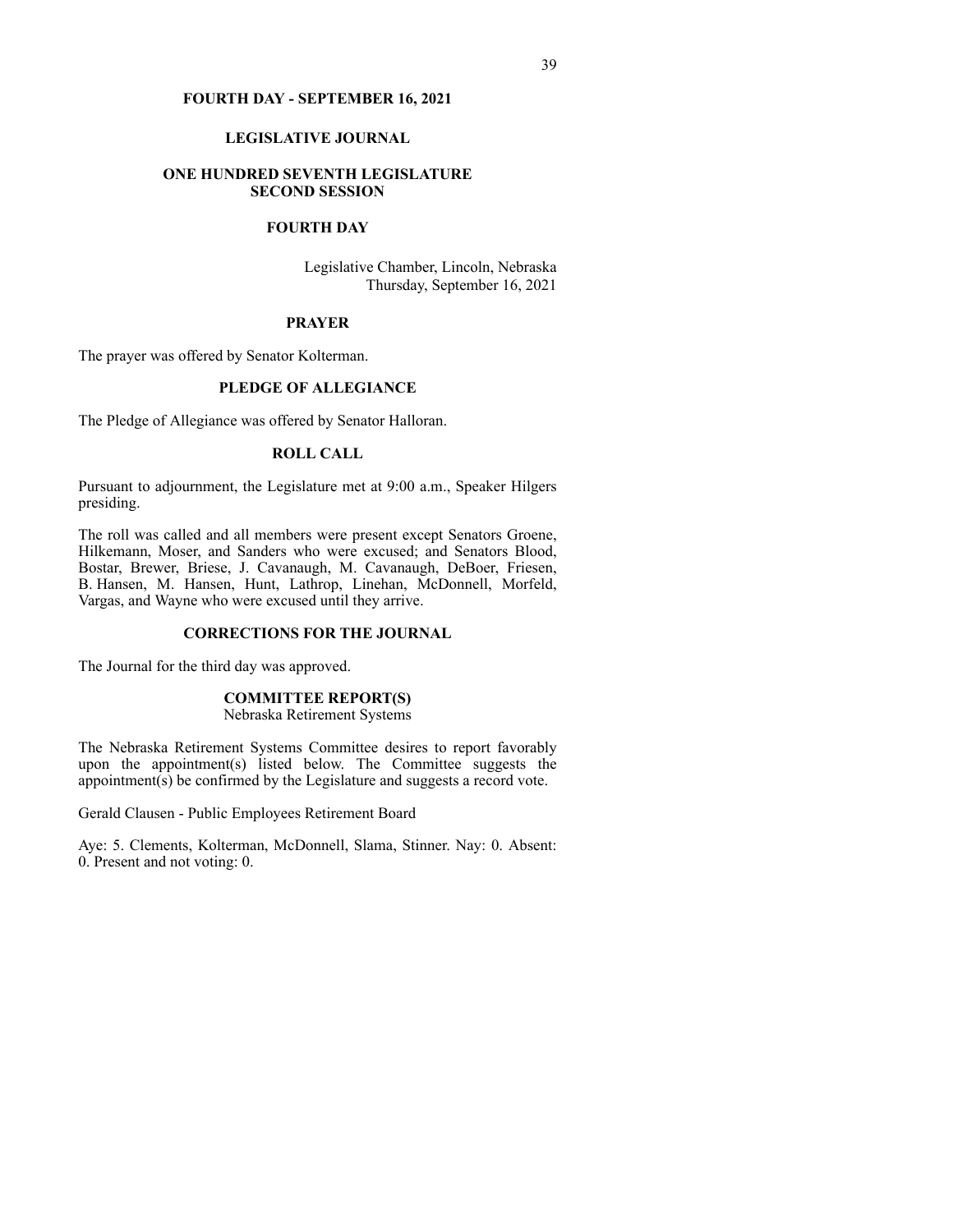#### **FOURTH DAY - SEPTEMBER 16, 2021**

#### **LEGISLATIVE JOURNAL**

## **ONE HUNDRED SEVENTH LEGISLATURE SECOND SESSION**

# **FOURTH DAY**

Legislative Chamber, Lincoln, Nebraska Thursday, September 16, 2021

### **PRAYER**

The prayer was offered by Senator Kolterman.

## **PLEDGE OF ALLEGIANCE**

The Pledge of Allegiance was offered by Senator Halloran.

# **ROLL CALL**

Pursuant to adjournment, the Legislature met at 9:00 a.m., Speaker Hilgers presiding.

The roll was called and all members were present except Senators Groene, Hilkemann, Moser, and Sanders who were excused; and Senators Blood, Bostar, Brewer, Briese, J. Cavanaugh, M. Cavanaugh, DeBoer, Friesen, B. Hansen, M. Hansen, Hunt, Lathrop, Linehan, McDonnell, Morfeld, Vargas, and Wayne who were excused until they arrive.

## **CORRECTIONS FOR THE JOURNAL**

The Journal for the third day was approved.

# **COMMITTEE REPORT(S)**

Nebraska Retirement Systems

The Nebraska Retirement Systems Committee desires to report favorably upon the appointment(s) listed below. The Committee suggests the appointment $(s)$  be confirmed by the Legislature and suggests a record vote.

Gerald Clausen - Public Employees Retirement Board

Aye: 5. Clements, Kolterman, McDonnell, Slama, Stinner. Nay: 0. Absent: 0. Present and not voting: 0.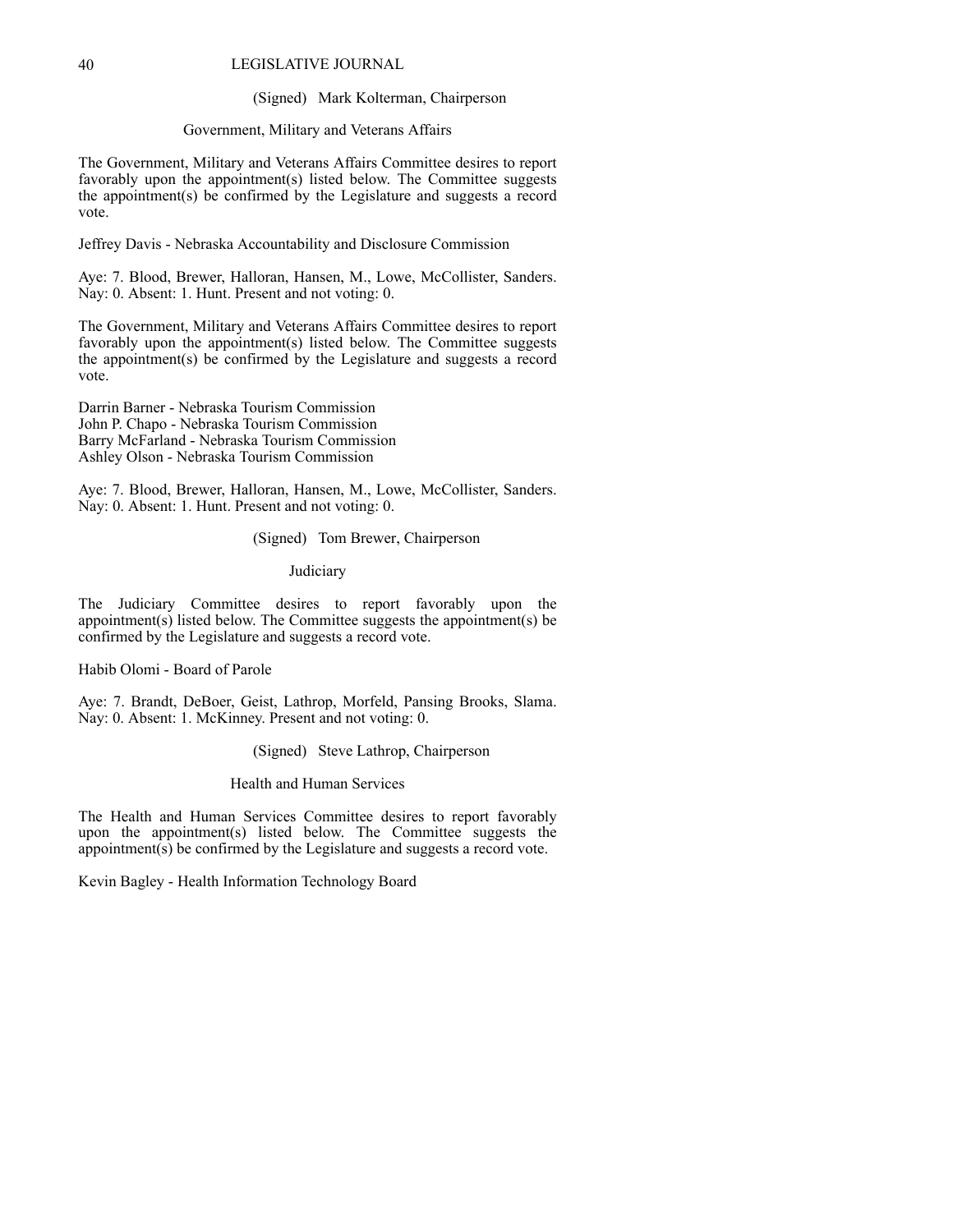#### (Signed) Mark Kolterman, Chairperson

#### Government, Military and Veterans Affairs

The Government, Military and Veterans Affairs Committee desires to report favorably upon the appointment(s) listed below. The Committee suggests the appointment(s) be confirmed by the Legislature and suggests a record vote.

Jeffrey Davis - Nebraska Accountability and Disclosure Commission

Aye: 7. Blood, Brewer, Halloran, Hansen, M., Lowe, McCollister, Sanders. Nay: 0. Absent: 1. Hunt. Present and not voting: 0.

The Government, Military and Veterans Affairs Committee desires to report favorably upon the appointment(s) listed below. The Committee suggests the appointment(s) be confirmed by the Legislature and suggests a record vote.

Darrin Barner - Nebraska Tourism Commission John P. Chapo - Nebraska Tourism Commission Barry McFarland - Nebraska Tourism Commission Ashley Olson - Nebraska Tourism Commission

Aye: 7. Blood, Brewer, Halloran, Hansen, M., Lowe, McCollister, Sanders. Nay: 0. Absent: 1. Hunt. Present and not voting: 0.

## (Signed) Tom Brewer, Chairperson

#### Judiciary

The Judiciary Committee desires to report favorably upon the appointment(s) listed below. The Committee suggests the appointment(s) be confirmed by the Legislature and suggests a record vote.

Habib Olomi - Board of Parole

Aye: 7. Brandt, DeBoer, Geist, Lathrop, Morfeld, Pansing Brooks, Slama. Nay: 0. Absent: 1. McKinney. Present and not voting: 0.

(Signed) Steve Lathrop, Chairperson

Health and Human Services

The Health and Human Services Committee desires to report favorably upon the appointment(s) listed below. The Committee suggests the appointment(s) be confirmed by the Legislature and suggests a record vote.

Kevin Bagley - Health Information Technology Board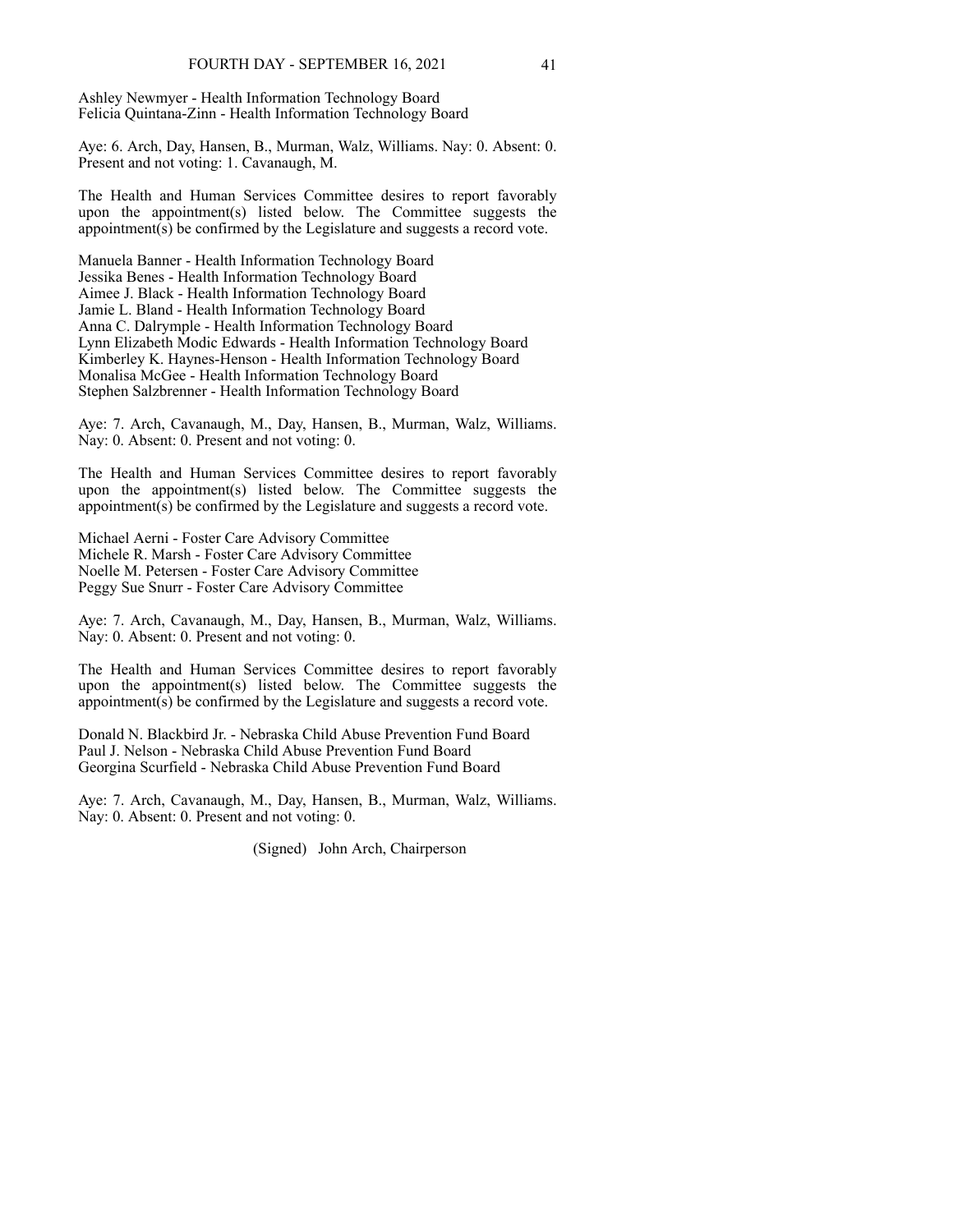Ashley Newmyer - Health Information Technology Board Felicia Quintana-Zinn - Health Information Technology Board

Aye: 6. Arch, Day, Hansen, B., Murman, Walz, Williams. Nay: 0. Absent: 0. Present and not voting: 1. Cavanaugh, M.

The Health and Human Services Committee desires to report favorably upon the appointment(s) listed below. The Committee suggests the appointment(s) be confirmed by the Legislature and suggests a record vote.

Manuela Banner - Health Information Technology Board Jessika Benes - Health Information Technology Board Aimee J. Black - Health Information Technology Board Jamie L. Bland - Health Information Technology Board Anna C. Dalrymple - Health Information Technology Board Lynn Elizabeth Modic Edwards - Health Information Technology Board Kimberley K. Haynes-Henson - Health Information Technology Board Monalisa McGee - Health Information Technology Board Stephen Salzbrenner - Health Information Technology Board

Aye: 7. Arch, Cavanaugh, M., Day, Hansen, B., Murman, Walz, Williams. Nay: 0. Absent: 0. Present and not voting: 0.

The Health and Human Services Committee desires to report favorably upon the appointment(s) listed below. The Committee suggests the appointment(s) be confirmed by the Legislature and suggests a record vote.

Michael Aerni - Foster Care Advisory Committee Michele R. Marsh - Foster Care Advisory Committee Noelle M. Petersen - Foster Care Advisory Committee Peggy Sue Snurr - Foster Care Advisory Committee

Aye: 7. Arch, Cavanaugh, M., Day, Hansen, B., Murman, Walz, Williams. Nay: 0. Absent: 0. Present and not voting: 0.

The Health and Human Services Committee desires to report favorably upon the appointment(s) listed below. The Committee suggests the appointment(s) be confirmed by the Legislature and suggests a record vote.

Donald N. Blackbird Jr. - Nebraska Child Abuse Prevention Fund Board Paul J. Nelson - Nebraska Child Abuse Prevention Fund Board Georgina Scurfield - Nebraska Child Abuse Prevention Fund Board

Aye: 7. Arch, Cavanaugh, M., Day, Hansen, B., Murman, Walz, Williams. Nay: 0. Absent: 0. Present and not voting: 0.

(Signed) John Arch, Chairperson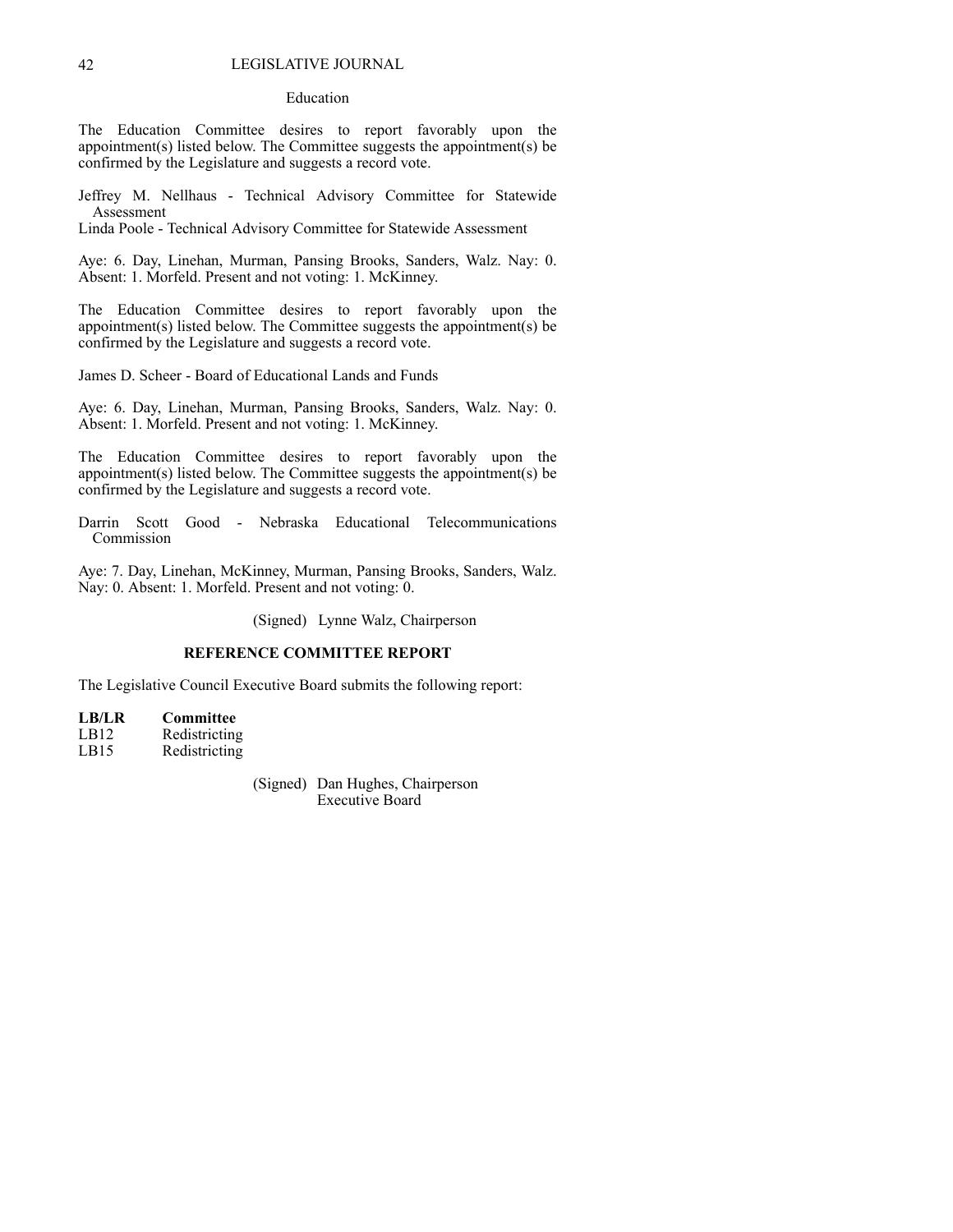#### Education

The Education Committee desires to report favorably upon the appointment(s) listed below. The Committee suggests the appointment(s) be confirmed by the Legislature and suggests a record vote.

Jeffrey M. Nellhaus - Technical Advisory Committee for Statewide Assessment

Linda Poole - Technical Advisory Committee for Statewide Assessment

Aye: 6. Day, Linehan, Murman, Pansing Brooks, Sanders, Walz. Nay: 0. Absent: 1. Morfeld. Present and not voting: 1. McKinney.

The Education Committee desires to report favorably upon the appointment(s) listed below. The Committee suggests the appointment(s) be confirmed by the Legislature and suggests a record vote.

James D. Scheer - Board of Educational Lands and Funds

Aye: 6. Day, Linehan, Murman, Pansing Brooks, Sanders, Walz. Nay: 0. Absent: 1. Morfeld. Present and not voting: 1. McKinney.

The Education Committee desires to report favorably upon the appointment(s) listed below. The Committee suggests the appointment(s) be confirmed by the Legislature and suggests a record vote.

Darrin Scott Good - Nebraska Educational Telecommunications Commission

Aye: 7. Day, Linehan, McKinney, Murman, Pansing Brooks, Sanders, Walz. Nay: 0. Absent: 1. Morfeld. Present and not voting: 0.

(Signed) Lynne Walz, Chairperson

#### **REFERENCE COMMITTEE REPORT**

The Legislative Council Executive Board submits the following report:

**LB/LR Committee** LB12 Redistricting LB15 Redistricting

> (Signed) Dan Hughes, Chairperson Executive Board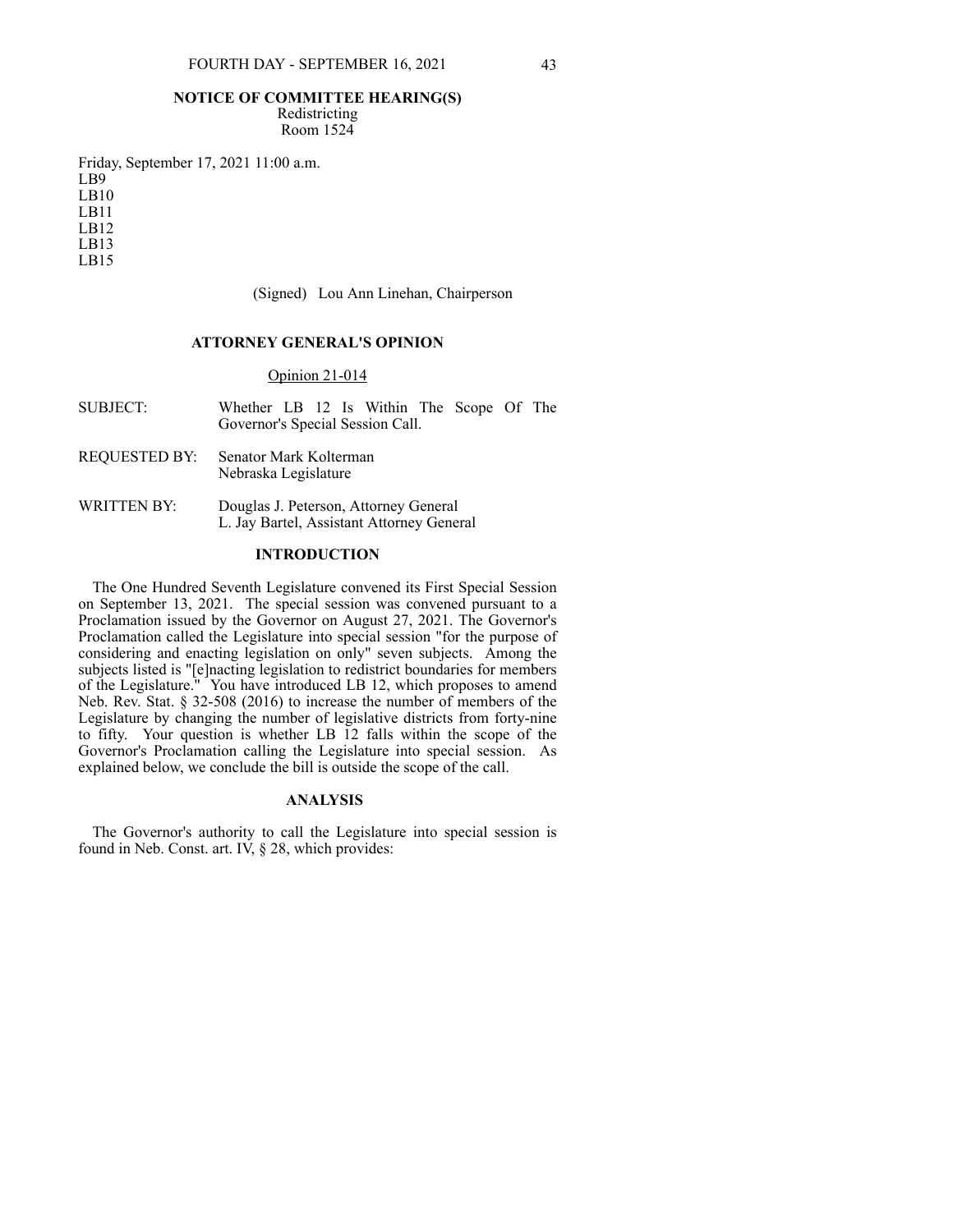#### **NOTICE OF COMMITTEE HEARING(S)**

Redistricting Room 1524

Friday, September 17, 2021 11:00 a.m. LB9 LB10 LB11 LB12 LB13 LB15

(Signed) Lou Ann Linehan, Chairperson

## **ATTORNEY GENERAL'S OPINION**

## Opinion 21-014

SUBJECT: Whether LB 12 Is Within The Scope Of The Governor's Special Session Call.

#### REQUESTED BY: Senator Mark Kolterman Nebraska Legislature

WRITTEN BY: Douglas J. Peterson, Attorney General L. Jay Bartel, Assistant Attorney General

### **INTRODUCTION**

The One Hundred Seventh Legislature convened its First Special Session on September 13, 2021. The special session was convened pursuant to a Proclamation issued by the Governor on August 27, 2021. The Governor's Proclamation called the Legislature into special session "for the purpose of considering and enacting legislation on only" seven subjects. Among the subjects listed is "[e]nacting legislation to redistrict boundaries for members of the Legislature." You have introduced LB 12, which proposes to amend Neb. Rev. Stat. § 32-508 (2016) to increase the number of members of the Legislature by changing the number of legislative districts from forty-nine to fifty. Your question is whether LB 12 falls within the scope of the Governor's Proclamation calling the Legislature into special session. As explained below, we conclude the bill is outside the scope of the call.

#### **ANALYSIS**

The Governor's authority to call the Legislature into special session is found in Neb. Const. art. IV, § 28, which provides: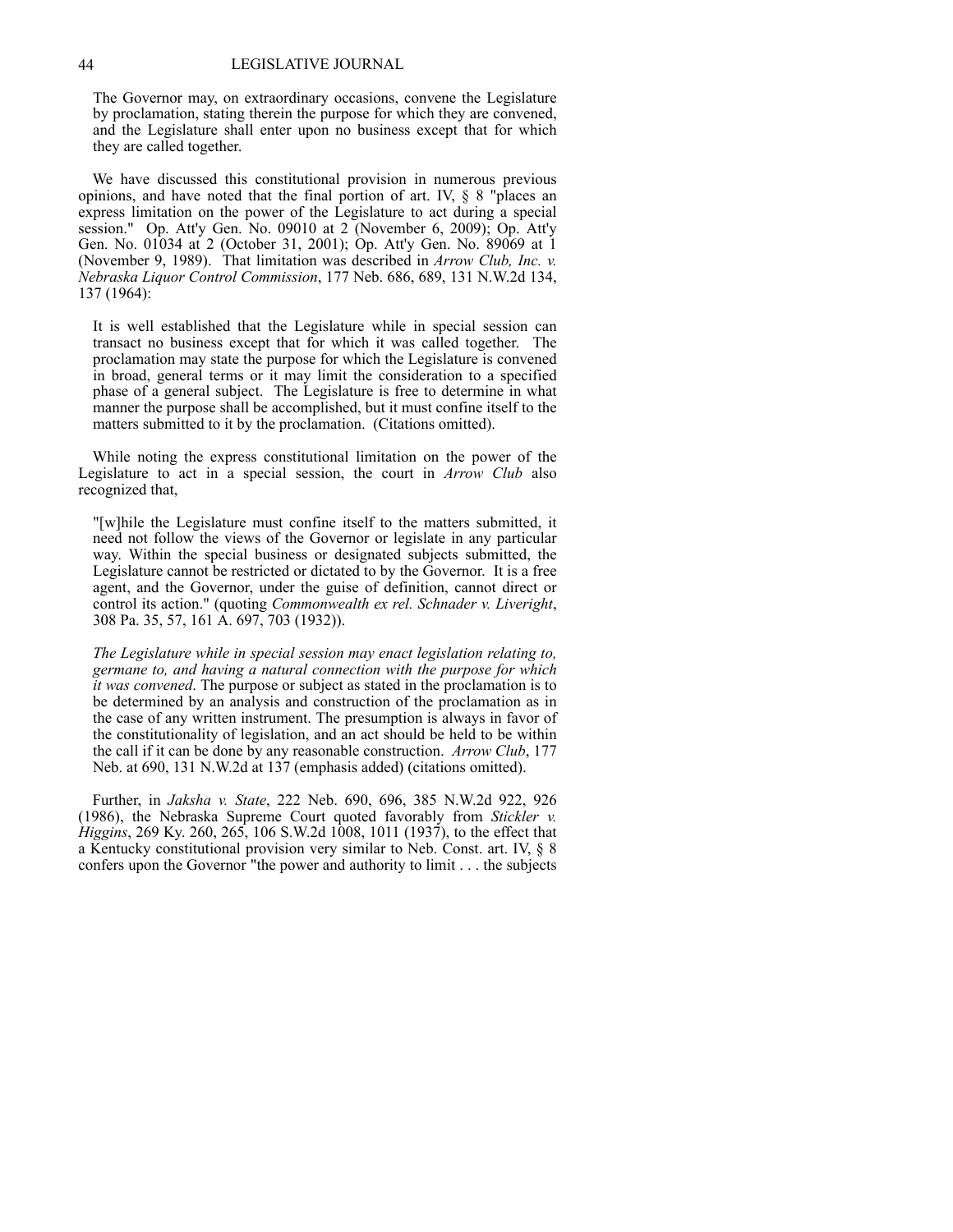The Governor may, on extraordinary occasions, convene the Legislature by proclamation, stating therein the purpose for which they are convened, and the Legislature shall enter upon no business except that for which they are called together.

We have discussed this constitutional provision in numerous previous opinions, and have noted that the final portion of art. IV, § 8 "places an express limitation on the power of the Legislature to act during a special session." Op. Att'y Gen. No. 09010 at 2 (November 6, 2009); Op. Att'y Gen. No. 01034 at 2 (October 31, 2001); Op. Att'y Gen. No. 89069 at 1 (November 9, 1989). That limitation was described in *Arrow Club, Inc. v. Nebraska Liquor Control Commission*, 177 Neb. 686, 689, 131 N.W.2d 134, 137 (1964):

It is well established that the Legislature while in special session can transact no business except that for which it was called together. The proclamation may state the purpose for which the Legislature is convened in broad, general terms or it may limit the consideration to a specified phase of a general subject. The Legislature is free to determine in what manner the purpose shall be accomplished, but it must confine itself to the matters submitted to it by the proclamation. (Citations omitted).

While noting the express constitutional limitation on the power of the Legislature to act in a special session, the court in *Arrow Club* also recognized that,

"[w]hile the Legislature must confine itself to the matters submitted, it need not follow the views of the Governor or legislate in any particular way. Within the special business or designated subjects submitted, the Legislature cannot be restricted or dictated to by the Governor. It is a free agent, and the Governor, under the guise of definition, cannot direct or control its action." (quoting *Commonwealth ex rel. Schnader v. Liveright*, 308 Pa. 35, 57, 161 A. 697, 703 (1932)).

*The Legislature while in special session may enact legislation relating to, germane to, and having a natural connection with the purpose for which it was convened*. The purpose or subject as stated in the proclamation is to be determined by an analysis and construction of the proclamation as in the case of any written instrument. The presumption is always in favor of the constitutionality of legislation, and an act should be held to be within the call if it can be done by any reasonable construction. *Arrow Club*, 177 Neb. at 690, 131 N.W.2d at 137 (emphasis added) (citations omitted).

Further, in *Jaksha v. State*, 222 Neb. 690, 696, 385 N.W.2d 922, 926 (1986), the Nebraska Supreme Court quoted favorably from *Stickler v. Higgins*, 269 Ky. 260, 265, 106 S.W.2d 1008, 1011 (1937), to the effect that a Kentucky constitutional provision very similar to Neb. Const. art. IV, § 8 confers upon the Governor "the power and authority to limit . . . the subjects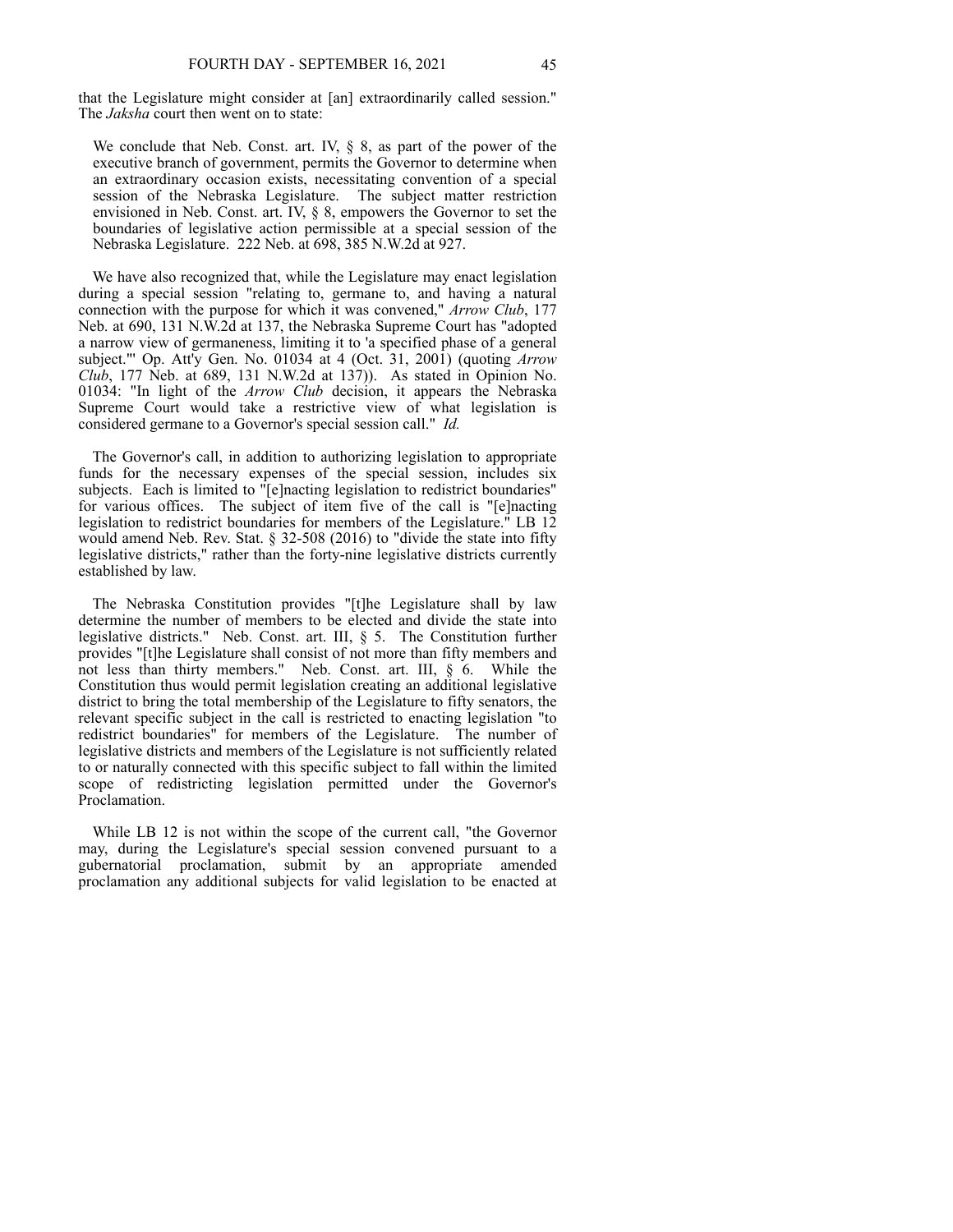that the Legislature might consider at [an] extraordinarily called session." The *Jaksha* court then went on to state:

We conclude that Neb. Const. art. IV,  $\S$  8, as part of the power of the executive branch of government, permits the Governor to determine when an extraordinary occasion exists, necessitating convention of a special session of the Nebraska Legislature. The subject matter restriction envisioned in Neb. Const. art. IV, § 8, empowers the Governor to set the boundaries of legislative action permissible at a special session of the Nebraska Legislature. 222 Neb. at 698, 385 N.W.2d at 927.

We have also recognized that, while the Legislature may enact legislation during a special session "relating to, germane to, and having a natural connection with the purpose for which it was convened," *Arrow Club*, 177 Neb. at 690, 131 N.W.2d at 137, the Nebraska Supreme Court has "adopted a narrow view of germaneness, limiting it to 'a specified phase of a general subject."' Op. Att'y Gen. No. 01034 at 4 (Oct. 31, 2001) (quoting *Arrow Club*, 177 Neb. at 689, 131 N.W.2d at 137)). As stated in Opinion No. 01034: "In light of the *Arrow Club* decision, it appears the Nebraska Supreme Court would take a restrictive view of what legislation is considered germane to a Governor's special session call." *Id.*

The Governor's call, in addition to authorizing legislation to appropriate funds for the necessary expenses of the special session, includes six subjects. Each is limited to "[e]nacting legislation to redistrict boundaries" for various offices. The subject of item five of the call is "[e]nacting legislation to redistrict boundaries for members of the Legislature." LB 12 would amend Neb. Rev. Stat. § 32-508 (2016) to "divide the state into fifty legislative districts," rather than the forty-nine legislative districts currently established by law.

The Nebraska Constitution provides "[t]he Legislature shall by law determine the number of members to be elected and divide the state into legislative districts." Neb. Const. art. III, § 5. The Constitution further provides "[t]he Legislature shall consist of not more than fifty members and not less than thirty members." Neb. Const. art. III, § 6. While the Constitution thus would permit legislation creating an additional legislative district to bring the total membership of the Legislature to fifty senators, the relevant specific subject in the call is restricted to enacting legislation "to redistrict boundaries" for members of the Legislature. The number of legislative districts and members of the Legislature is not sufficiently related to or naturally connected with this specific subject to fall within the limited scope of redistricting legislation permitted under the Governor's Proclamation.

While LB 12 is not within the scope of the current call, "the Governor may, during the Legislature's special session convened pursuant to a gubernatorial proclamation, submit by an appropriate amended proclamation any additional subjects for valid legislation to be enacted at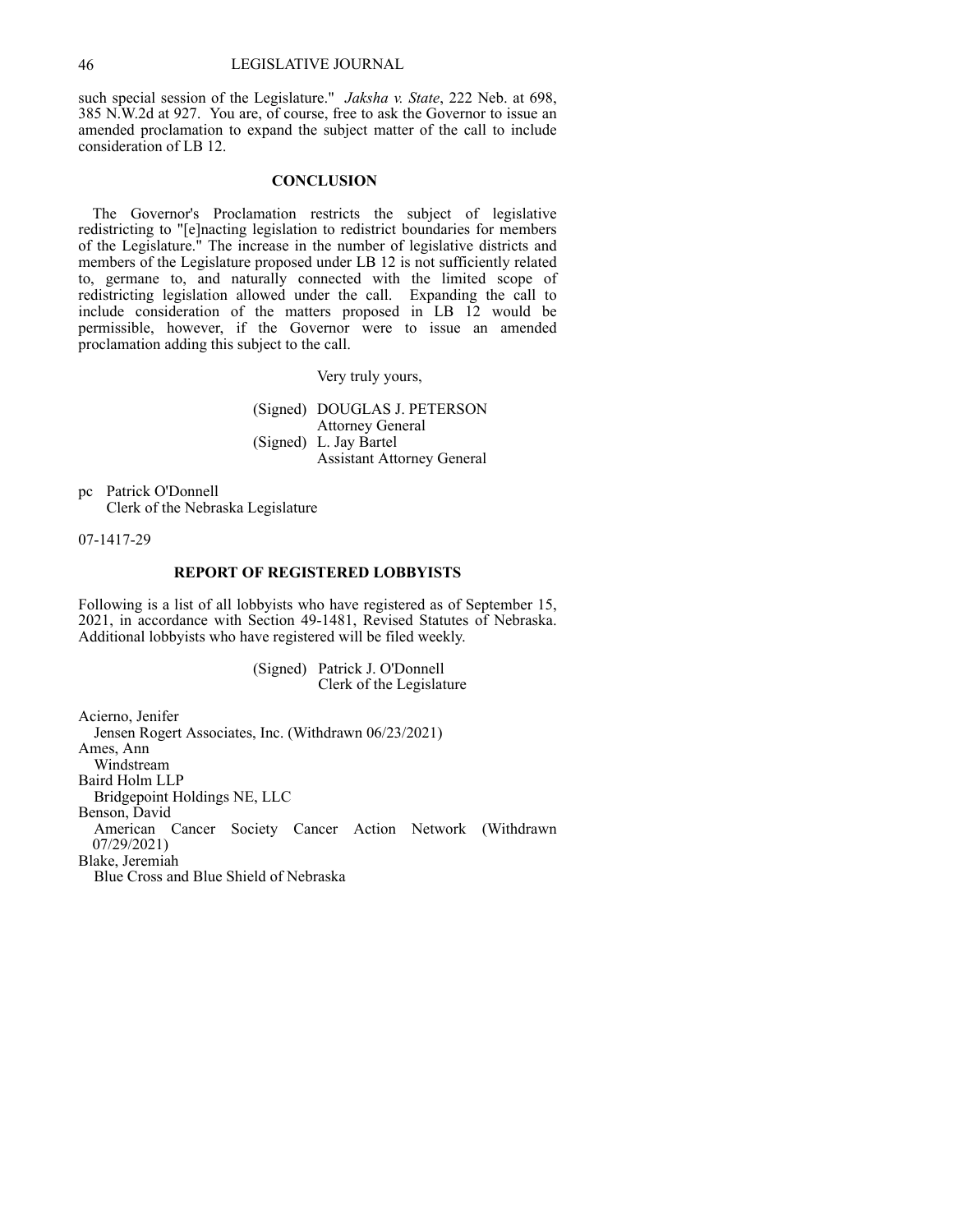such special session of the Legislature." *Jaksha v. State*, 222 Neb. at 698, 385 N.W.2d at 927. You are, of course, free to ask the Governor to issue an amended proclamation to expand the subject matter of the call to include consideration of LB 12.

### **CONCLUSION**

The Governor's Proclamation restricts the subject of legislative redistricting to "[e]nacting legislation to redistrict boundaries for members of the Legislature." The increase in the number of legislative districts and members of the Legislature proposed under LB 12 is not sufficiently related to, germane to, and naturally connected with the limited scope of redistricting legislation allowed under the call. Expanding the call to include consideration of the matters proposed in LB 12 would be permissible, however, if the Governor were to issue an amended proclamation adding this subject to the call.

Very truly yours,

(Signed) DOUGLAS J. PETERSON Attorney General (Signed) L. Jay Bartel Assistant Attorney General

pc Patrick O'Donnell Clerk of the Nebraska Legislature

07-1417-29

# **REPORT OF REGISTERED LOBBYISTS**

Following is a list of all lobbyists who have registered as of September 15, 2021, in accordance with Section 49-1481, Revised Statutes of Nebraska. Additional lobbyists who have registered will be filed weekly.

> (Signed) Patrick J. O'Donnell Clerk of the Legislature

Acierno, Jenifer Jensen Rogert Associates, Inc. (Withdrawn 06/23/2021) Ames, Ann Windstream Baird Holm LLP Bridgepoint Holdings NE, LLC Benson, David American Cancer Society Cancer Action Network (Withdrawn 07/29/2021) Blake, Jeremiah Blue Cross and Blue Shield of Nebraska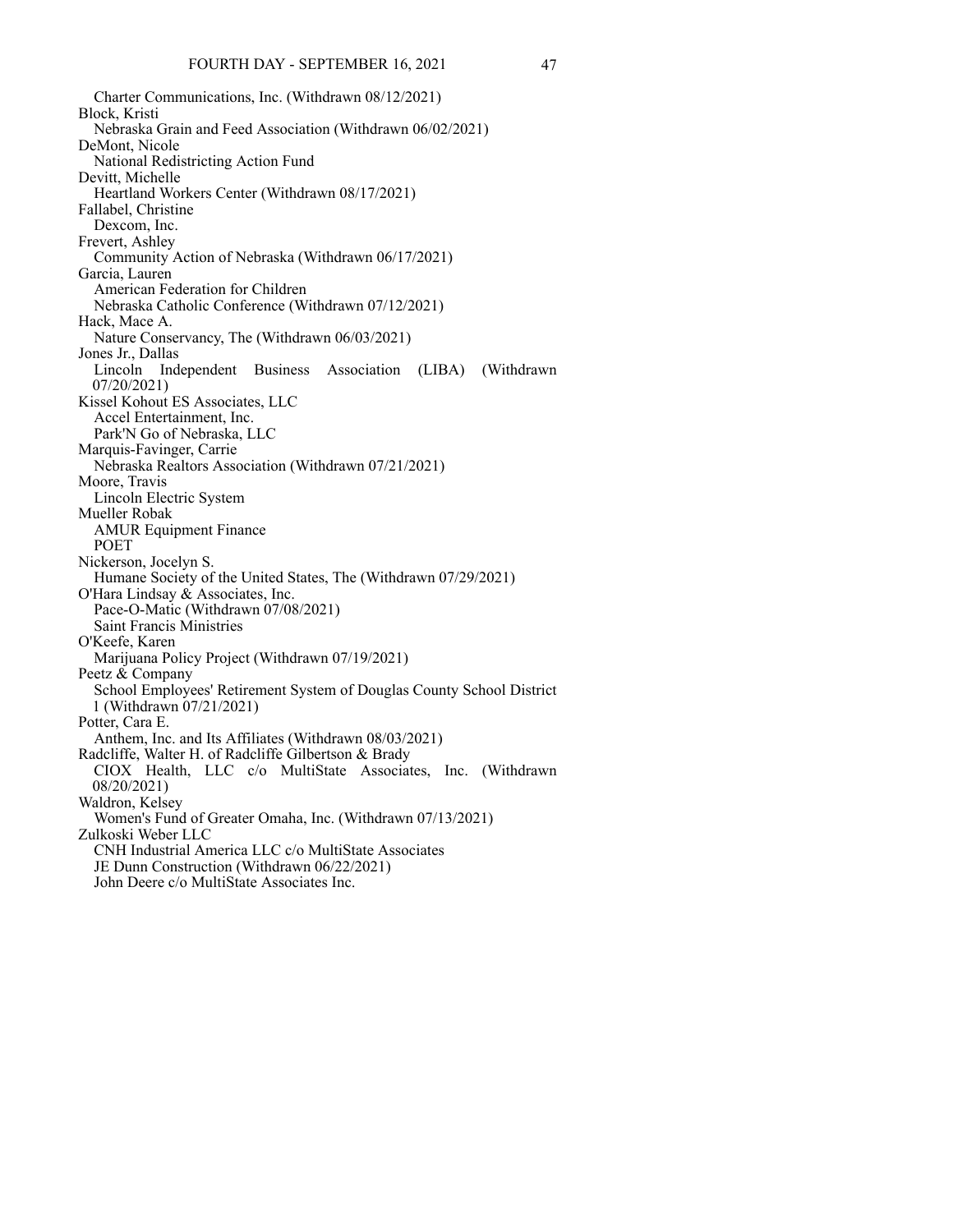Charter Communications, Inc. (Withdrawn 08/12/2021) Block, Kristi Nebraska Grain and Feed Association (Withdrawn 06/02/2021) DeMont, Nicole National Redistricting Action Fund Devitt, Michelle Heartland Workers Center (Withdrawn 08/17/2021) Fallabel, Christine Dexcom, Inc. Frevert, Ashley Community Action of Nebraska (Withdrawn 06/17/2021) Garcia, Lauren American Federation for Children Nebraska Catholic Conference (Withdrawn 07/12/2021) Hack, Mace A. Nature Conservancy, The (Withdrawn 06/03/2021) Jones Jr., Dallas Lincoln Independent Business Association (LIBA) (Withdrawn 07/20/2021) Kissel Kohout ES Associates, LLC Accel Entertainment, Inc. Park'N Go of Nebraska, LLC Marquis-Favinger, Carrie Nebraska Realtors Association (Withdrawn 07/21/2021) Moore, Travis Lincoln Electric System Mueller Robak AMUR Equipment Finance POET Nickerson, Jocelyn S. Humane Society of the United States, The (Withdrawn 07/29/2021) O'Hara Lindsay & Associates, Inc. Pace-O-Matic (Withdrawn 07/08/2021) Saint Francis Ministries O'Keefe, Karen Marijuana Policy Project (Withdrawn 07/19/2021) Peetz & Company School Employees' Retirement System of Douglas County School District 1 (Withdrawn 07/21/2021) Potter, Cara E. Anthem, Inc. and Its Affiliates (Withdrawn 08/03/2021) Radcliffe, Walter H. of Radcliffe Gilbertson & Brady CIOX Health, LLC c/o MultiState Associates, Inc. (Withdrawn 08/20/2021) Waldron, Kelsey Women's Fund of Greater Omaha, Inc. (Withdrawn 07/13/2021) Zulkoski Weber LLC CNH Industrial America LLC c/o MultiState Associates JE Dunn Construction (Withdrawn 06/22/2021) John Deere c/o MultiState Associates Inc.